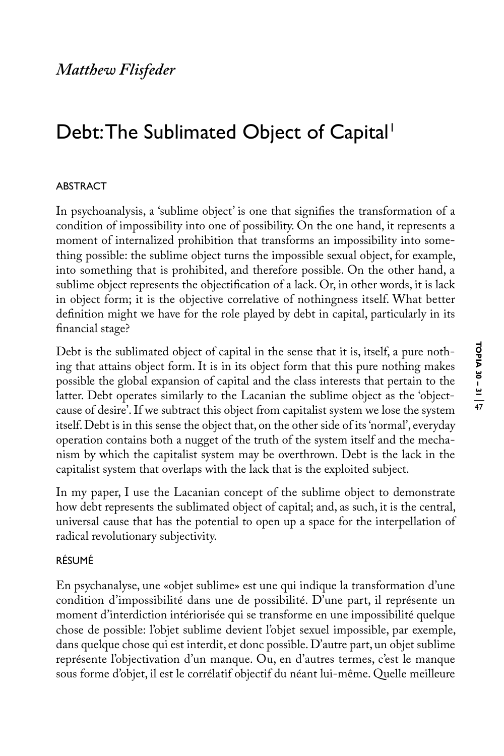## *Matthew Flisfeder*

# Debt: The Sublimated Object of Capital<sup>1</sup>

#### ABSTRACT

In psychoanalysis, a 'sublime object' is one that signifies the transformation of a condition of impossibility into one of possibility. On the one hand, it represents a moment of internalized prohibition that transforms an impossibility into something possible: the sublime object turns the impossible sexual object, for example, into something that is prohibited, and therefore possible. On the other hand, a sublime object represents the objectification of a lack. Or, in other words, it is lack in object form; it is the objective correlative of nothingness itself. What better definition might we have for the role played by debt in capital, particularly in its financial stage?

Debt is the sublimated object of capital in the sense that it is, itself, a pure nothing that attains object form. It is in its object form that this pure nothing makes possible the global expansion of capital and the class interests that pertain to the latter. Debt operates similarly to the Lacanian the sublime object as the 'objectcause of desire'. If we subtract this object from capitalist system we lose the system itself. Debt is in this sense the object that, on the other side of its 'normal', everyday operation contains both a nugget of the truth of the system itself and the mechanism by which the capitalist system may be overthrown. Debt is the lack in the capitalist system that overlaps with the lack that is the exploited subject.

In my paper, I use the Lacanian concept of the sublime object to demonstrate how debt represents the sublimated object of capital; and, as such, it is the central, universal cause that has the potential to open up a space for the interpellation of radical revolutionary subjectivity.

#### RÉSUMÉ

En psychanalyse, une «objet sublime» est une qui indique la transformation d'une condition d'impossibilité dans une de possibilité. D'une part, il représente un moment d'interdiction intériorisée qui se transforme en une impossibilité quelque chose de possible: l'objet sublime devient l'objet sexuel impossible, par exemple, dans quelque chose qui est interdit, et donc possible. D'autre part, un objet sublime représente l'objectivation d'un manque. Ou, en d'autres termes, c'est le manque sous forme d'objet, il est le corrélatif objectif du néant lui-même. Quelle meilleure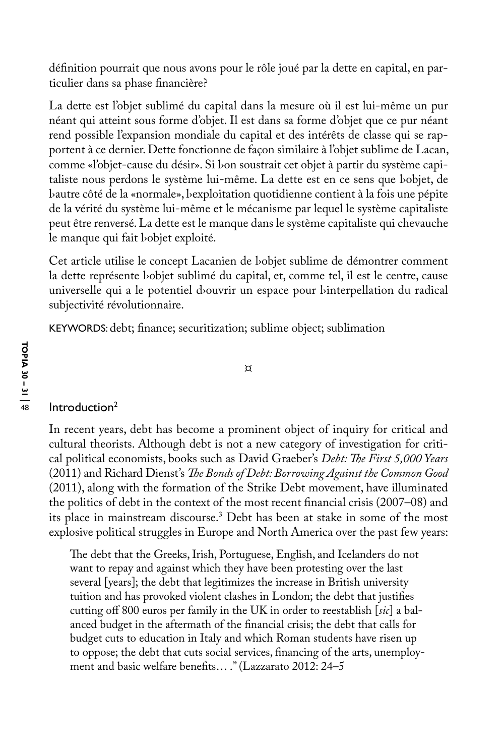définition pourrait que nous avons pour le rôle joué par la dette en capital, en particulier dans sa phase financière?

La dette est l'objet sublimé du capital dans la mesure où il est lui-même un pur néant qui atteint sous forme d'objet. Il est dans sa forme d'objet que ce pur néant rend possible l'expansion mondiale du capital et des intérêts de classe qui se rapportent à ce dernier. Dette fonctionne de façon similaire à l'objet sublime de Lacan, comme «l'objet-cause du désir». Si bon soustrait cet objet à partir du système capitaliste nous perdons le système lui-même. La dette est en ce sens que l›objet, de bautre côté de la «normale», bexploitation quotidienne contient à la fois une pépite de la vérité du système lui-même et le mécanisme par lequel le système capitaliste peut être renversé. La dette est le manque dans le système capitaliste qui chevauche le manque qui fait l›objet exploité.

Cet article utilise le concept Lacanien de l›objet sublime de démontrer comment la dette représente bobjet sublimé du capital, et, comme tel, il est le centre, cause universelle qui a le potentiel doouvrir un espace pour binterpellation du radical subjectivité révolutionnaire.

KEYWORDS: debt; finance; securitization; sublime object; sublimation

¤

#### Introduction<sup>2</sup>

In recent years, debt has become a prominent object of inquiry for critical and cultural theorists. Although debt is not a new category of investigation for critical political economists, books such as David Graeber's *Debt: The First 5,000 Years* (2011) and Richard Dienst's *The Bonds of Debt: Borrowing Against the Common Good* (2011), along with the formation of the Strike Debt movement, have illuminated the politics of debt in the context of the most recent financial crisis (2007–08) and its place in mainstream discourse.3 Debt has been at stake in some of the most explosive political struggles in Europe and North America over the past few years:

The debt that the Greeks, Irish, Portuguese, English, and Icelanders do not want to repay and against which they have been protesting over the last several [years]; the debt that legitimizes the increase in British university tuition and has provoked violent clashes in London; the debt that justifies cutting off 800 euros per family in the UK in order to reestablish [*sic*] a balanced budget in the aftermath of the financial crisis; the debt that calls for budget cuts to education in Italy and which Roman students have risen up to oppose; the debt that cuts social services, financing of the arts, unemployment and basic welfare benefits… ." (Lazzarato 2012: 24–5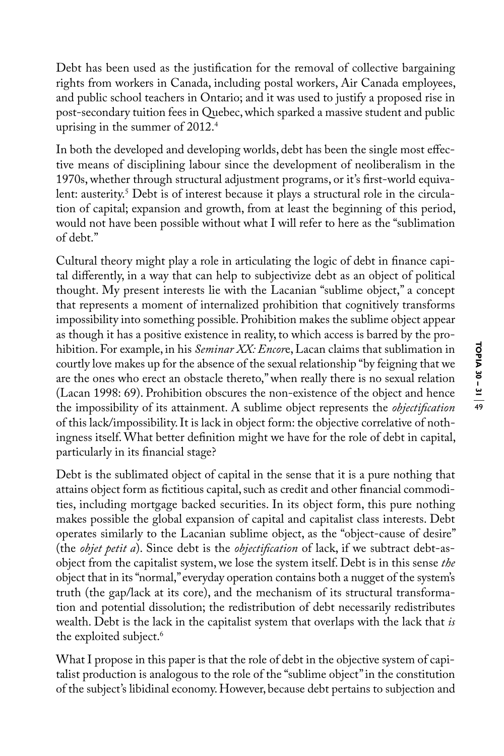Debt has been used as the justification for the removal of collective bargaining rights from workers in Canada, including postal workers, Air Canada employees, and public school teachers in Ontario; and it was used to justify a proposed rise in post-secondary tuition fees in Quebec, which sparked a massive student and public uprising in the summer of 2012.4

In both the developed and developing worlds, debt has been the single most effective means of disciplining labour since the development of neoliberalism in the 1970s, whether through structural adjustment programs, or it's first-world equivalent: austerity.5 Debt is of interest because it plays a structural role in the circulation of capital; expansion and growth, from at least the beginning of this period, would not have been possible without what I will refer to here as the "sublimation of debt."

Cultural theory might play a role in articulating the logic of debt in finance capital differently, in a way that can help to subjectivize debt as an object of political thought. My present interests lie with the Lacanian "sublime object," a concept that represents a moment of internalized prohibition that cognitively transforms impossibility into something possible. Prohibition makes the sublime object appear as though it has a positive existence in reality, to which access is barred by the prohibition. For example, in his *Seminar XX: Encor*e, Lacan claims that sublimation in courtly love makes up for the absence of the sexual relationship "by feigning that we are the ones who erect an obstacle thereto," when really there is no sexual relation (Lacan 1998: 69). Prohibition obscures the non-existence of the object and hence the impossibility of its attainment. A sublime object represents the *objectification* of this lack/impossibility. It is lack in object form: the objective correlative of nothingness itself. What better definition might we have for the role of debt in capital, particularly in its financial stage?

Debt is the sublimated object of capital in the sense that it is a pure nothing that attains object form as fictitious capital, such as credit and other financial commodities, including mortgage backed securities. In its object form, this pure nothing makes possible the global expansion of capital and capitalist class interests. Debt operates similarly to the Lacanian sublime object, as the "object-cause of desire" (the *objet petit a*). Since debt is the *objectification* of lack, if we subtract debt-asobject from the capitalist system, we lose the system itself. Debt is in this sense *the* object that in its "normal," everyday operation contains both a nugget of the system's truth (the gap/lack at its core), and the mechanism of its structural transformation and potential dissolution; the redistribution of debt necessarily redistributes wealth. Debt is the lack in the capitalist system that overlaps with the lack that *is* the exploited subject.<sup>6</sup>

What I propose in this paper is that the role of debt in the objective system of capitalist production is analogous to the role of the "sublime object" in the constitution of the subject's libidinal economy. However, because debt pertains to subjection and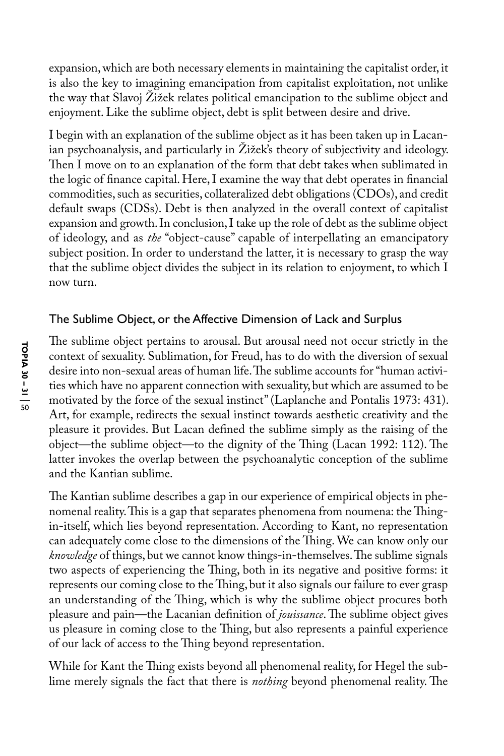expansion, which are both necessary elements in maintaining the capitalist order, it is also the key to imagining emancipation from capitalist exploitation, not unlike the way that Slavoj Žižek relates political emancipation to the sublime object and enjoyment. Like the sublime object, debt is split between desire and drive.

I begin with an explanation of the sublime object as it has been taken up in Lacanian psychoanalysis, and particularly in Žižek's theory of subjectivity and ideology. Then I move on to an explanation of the form that debt takes when sublimated in the logic of finance capital. Here, I examine the way that debt operates in financial commodities, such as securities, collateralized debt obligations (CDOs), and credit default swaps (CDSs). Debt is then analyzed in the overall context of capitalist expansion and growth. In conclusion, I take up the role of debt as the sublime object of ideology, and as *the* "object-cause" capable of interpellating an emancipatory subject position. In order to understand the latter, it is necessary to grasp the way that the sublime object divides the subject in its relation to enjoyment, to which I now turn.

#### The Sublime Object, or the Affective Dimension of Lack and Surplus

The sublime object pertains to arousal. But arousal need not occur strictly in the context of sexuality. Sublimation, for Freud, has to do with the diversion of sexual desire into non-sexual areas of human life. The sublime accounts for "human activities which have no apparent connection with sexuality, but which are assumed to be motivated by the force of the sexual instinct" (Laplanche and Pontalis 1973: 431). Art, for example, redirects the sexual instinct towards aesthetic creativity and the pleasure it provides. But Lacan defined the sublime simply as the raising of the object—the sublime object—to the dignity of the Thing (Lacan 1992: 112). The latter invokes the overlap between the psychoanalytic conception of the sublime and the Kantian sublime.

The Kantian sublime describes a gap in our experience of empirical objects in phenomenal reality. This is a gap that separates phenomena from noumena: the Thingin-itself, which lies beyond representation. According to Kant, no representation can adequately come close to the dimensions of the Thing. We can know only our *knowledge* of things, but we cannot know things-in-themselves. The sublime signals two aspects of experiencing the Thing, both in its negative and positive forms: it represents our coming close to the Thing, but it also signals our failure to ever grasp an understanding of the Thing, which is why the sublime object procures both pleasure and pain—the Lacanian definition of *jouissance*. The sublime object gives us pleasure in coming close to the Thing, but also represents a painful experience of our lack of access to the Thing beyond representation.

While for Kant the Thing exists beyond all phenomenal reality, for Hegel the sublime merely signals the fact that there is *nothing* beyond phenomenal reality. The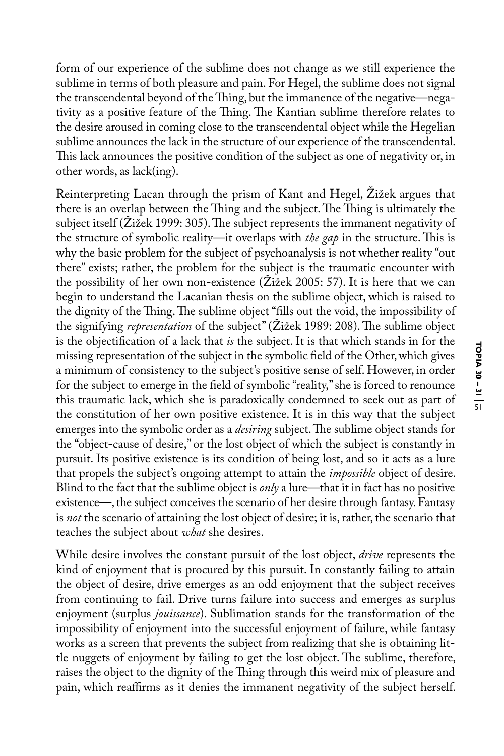form of our experience of the sublime does not change as we still experience the sublime in terms of both pleasure and pain. For Hegel, the sublime does not signal the transcendental beyond of the Thing, but the immanence of the negative—negativity as a positive feature of the Thing. The Kantian sublime therefore relates to the desire aroused in coming close to the transcendental object while the Hegelian sublime announces the lack in the structure of our experience of the transcendental. This lack announces the positive condition of the subject as one of negativity or, in other words, as lack(ing).

Reinterpreting Lacan through the prism of Kant and Hegel, Žižek argues that there is an overlap between the Thing and the subject. The Thing is ultimately the subject itself (Žižek 1999: 305). The subject represents the immanent negativity of the structure of symbolic reality—it overlaps with *the gap* in the structure. This is why the basic problem for the subject of psychoanalysis is not whether reality "out there" exists; rather, the problem for the subject is the traumatic encounter with the possibility of her own non-existence (Žižek 2005: 57). It is here that we can begin to understand the Lacanian thesis on the sublime object, which is raised to the dignity of the Thing. The sublime object "fills out the void, the impossibility of the signifying *representation* of the subject" (Žižek 1989: 208). The sublime object is the objectification of a lack that *is* the subject. It is that which stands in for the missing representation of the subject in the symbolic field of the Other, which gives a minimum of consistency to the subject's positive sense of self. However, in order for the subject to emerge in the field of symbolic "reality," she is forced to renounce this traumatic lack, which she is paradoxically condemned to seek out as part of the constitution of her own positive existence. It is in this way that the subject emerges into the symbolic order as a *desiring* subject. The sublime object stands for the "object-cause of desire," or the lost object of which the subject is constantly in pursuit. Its positive existence is its condition of being lost, and so it acts as a lure that propels the subject's ongoing attempt to attain the *impossible* object of desire. Blind to the fact that the sublime object is *only* a lure—that it in fact has no positive existence—, the subject conceives the scenario of her desire through fantasy. Fantasy is *not* the scenario of attaining the lost object of desire; it is, rather, the scenario that teaches the subject about *what* she desires.

While desire involves the constant pursuit of the lost object, *drive* represents the kind of enjoyment that is procured by this pursuit. In constantly failing to attain the object of desire, drive emerges as an odd enjoyment that the subject receives from continuing to fail. Drive turns failure into success and emerges as surplus enjoyment (surplus *jouissance*). Sublimation stands for the transformation of the impossibility of enjoyment into the successful enjoyment of failure, while fantasy works as a screen that prevents the subject from realizing that she is obtaining little nuggets of enjoyment by failing to get the lost object. The sublime, therefore, raises the object to the dignity of the Thing through this weird mix of pleasure and pain, which reaffirms as it denies the immanent negativity of the subject herself.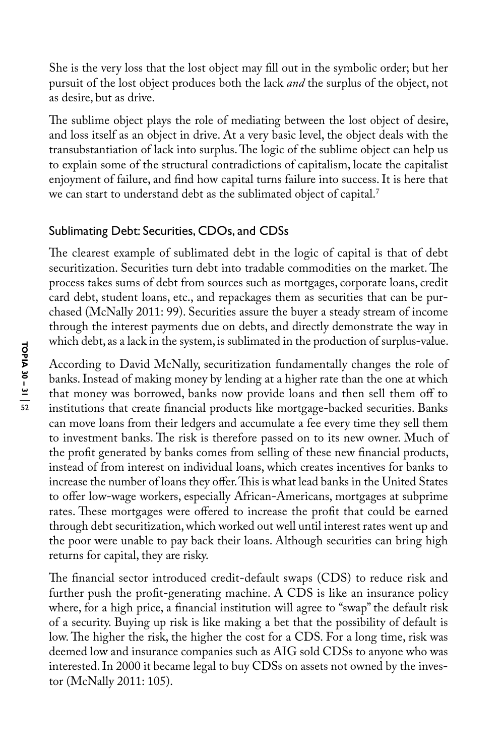She is the very loss that the lost object may fill out in the symbolic order; but her pursuit of the lost object produces both the lack *and* the surplus of the object, not as desire, but as drive.

The sublime object plays the role of mediating between the lost object of desire, and loss itself as an object in drive. At a very basic level, the object deals with the transubstantiation of lack into surplus. The logic of the sublime object can help us to explain some of the structural contradictions of capitalism, locate the capitalist enjoyment of failure, and find how capital turns failure into success. It is here that we can start to understand debt as the sublimated object of capital.7

## Sublimating Debt: Securities, CDOs, and CDSs

The clearest example of sublimated debt in the logic of capital is that of debt securitization. Securities turn debt into tradable commodities on the market. The process takes sums of debt from sources such as mortgages, corporate loans, credit card debt, student loans, etc., and repackages them as securities that can be purchased (McNally 2011: 99). Securities assure the buyer a steady stream of income through the interest payments due on debts, and directly demonstrate the way in which debt, as a lack in the system, is sublimated in the production of surplus-value.

According to David McNally, securitization fundamentally changes the role of banks. Instead of making money by lending at a higher rate than the one at which that money was borrowed, banks now provide loans and then sell them off to institutions that create financial products like mortgage-backed securities. Banks can move loans from their ledgers and accumulate a fee every time they sell them to investment banks. The risk is therefore passed on to its new owner. Much of the profit generated by banks comes from selling of these new financial products, instead of from interest on individual loans, which creates incentives for banks to increase the number of loans they offer. This is what lead banks in the United States to offer low-wage workers, especially African-Americans, mortgages at subprime rates. These mortgages were offered to increase the profit that could be earned through debt securitization, which worked out well until interest rates went up and the poor were unable to pay back their loans. Although securities can bring high returns for capital, they are risky.

The financial sector introduced credit-default swaps (CDS) to reduce risk and further push the profit-generating machine. A CDS is like an insurance policy where, for a high price, a financial institution will agree to "swap" the default risk of a security. Buying up risk is like making a bet that the possibility of default is low. The higher the risk, the higher the cost for a CDS. For a long time, risk was deemed low and insurance companies such as AIG sold CDSs to anyone who was interested. In 2000 it became legal to buy CDSs on assets not owned by the investor (McNally 2011: 105).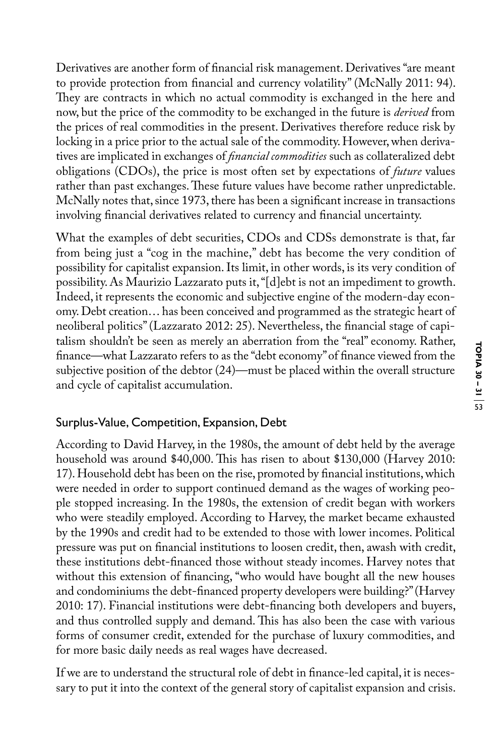Derivatives are another form of financial risk management. Derivatives "are meant to provide protection from financial and currency volatility" (McNally 2011: 94). They are contracts in which no actual commodity is exchanged in the here and now, but the price of the commodity to be exchanged in the future is *derived* from the prices of real commodities in the present. Derivatives therefore reduce risk by locking in a price prior to the actual sale of the commodity. However, when derivatives are implicated in exchanges of *financial commodities* such as collateralized debt obligations (CDOs), the price is most often set by expectations of *future* values rather than past exchanges. These future values have become rather unpredictable. McNally notes that, since 1973, there has been a significant increase in transactions involving financial derivatives related to currency and financial uncertainty.

What the examples of debt securities, CDOs and CDSs demonstrate is that, far from being just a "cog in the machine," debt has become the very condition of possibility for capitalist expansion. Its limit, in other words, is its very condition of possibility. As Maurizio Lazzarato puts it, "[d]ebt is not an impediment to growth. Indeed, it represents the economic and subjective engine of the modern-day economy. Debt creation… has been conceived and programmed as the strategic heart of neoliberal politics" (Lazzarato 2012: 25). Nevertheless, the financial stage of capitalism shouldn't be seen as merely an aberration from the "real" economy. Rather, finance—what Lazzarato refers to as the "debt economy" of finance viewed from the subjective position of the debtor (24)—must be placed within the overall structure and cycle of capitalist accumulation.

## Surplus-Value, Competition, Expansion, Debt

According to David Harvey, in the 1980s, the amount of debt held by the average household was around \$40,000. This has risen to about \$130,000 (Harvey 2010: 17). Household debt has been on the rise, promoted by financial institutions, which were needed in order to support continued demand as the wages of working people stopped increasing. In the 1980s, the extension of credit began with workers who were steadily employed. According to Harvey, the market became exhausted by the 1990s and credit had to be extended to those with lower incomes. Political pressure was put on financial institutions to loosen credit, then, awash with credit, these institutions debt-financed those without steady incomes. Harvey notes that without this extension of financing, "who would have bought all the new houses and condominiums the debt-financed property developers were building?" (Harvey 2010: 17). Financial institutions were debt-financing both developers and buyers, and thus controlled supply and demand. This has also been the case with various forms of consumer credit, extended for the purchase of luxury commodities, and for more basic daily needs as real wages have decreased.

If we are to understand the structural role of debt in finance-led capital, it is necessary to put it into the context of the general story of capitalist expansion and crisis.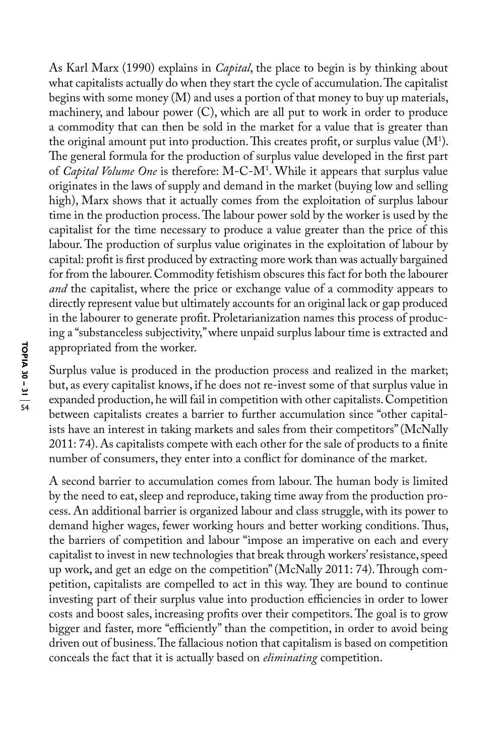As Karl Marx (1990) explains in *Capital*, the place to begin is by thinking about what capitalists actually do when they start the cycle of accumulation. The capitalist begins with some money (M) and uses a portion of that money to buy up materials, machinery, and labour power (C), which are all put to work in order to produce a commodity that can then be sold in the market for a value that is greater than the original amount put into production. This creates profit, or surplus value ( $\mathrm{M}^{\scriptscriptstyle{1}}$ ). The general formula for the production of surplus value developed in the first part of *Capital Volume One* is therefore: M-C-M1 . While it appears that surplus value originates in the laws of supply and demand in the market (buying low and selling high), Marx shows that it actually comes from the exploitation of surplus labour time in the production process. The labour power sold by the worker is used by the capitalist for the time necessary to produce a value greater than the price of this labour. The production of surplus value originates in the exploitation of labour by capital: profit is first produced by extracting more work than was actually bargained for from the labourer. Commodity fetishism obscures this fact for both the labourer *and* the capitalist, where the price or exchange value of a commodity appears to directly represent value but ultimately accounts for an original lack or gap produced in the labourer to generate profit. Proletarianization names this process of producing a "substanceless subjectivity," where unpaid surplus labour time is extracted and appropriated from the worker.

Surplus value is produced in the production process and realized in the market; but, as every capitalist knows, if he does not re-invest some of that surplus value in expanded production, he will fail in competition with other capitalists. Competition between capitalists creates a barrier to further accumulation since "other capitalists have an interest in taking markets and sales from their competitors" (McNally 2011: 74). As capitalists compete with each other for the sale of products to a finite number of consumers, they enter into a conflict for dominance of the market.

A second barrier to accumulation comes from labour. The human body is limited by the need to eat, sleep and reproduce, taking time away from the production process. An additional barrier is organized labour and class struggle, with its power to demand higher wages, fewer working hours and better working conditions. Thus, the barriers of competition and labour "impose an imperative on each and every capitalist to invest in new technologies that break through workers' resistance, speed up work, and get an edge on the competition" (McNally 2011: 74). Through competition, capitalists are compelled to act in this way. They are bound to continue investing part of their surplus value into production efficiencies in order to lower costs and boost sales, increasing profits over their competitors. The goal is to grow bigger and faster, more "efficiently" than the competition, in order to avoid being driven out of business. The fallacious notion that capitalism is based on competition conceals the fact that it is actually based on *eliminating* competition.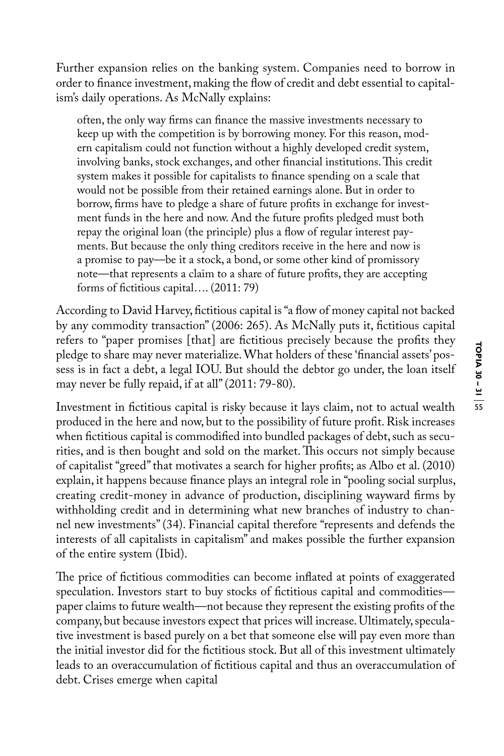Further expansion relies on the banking system. Companies need to borrow in order to finance investment, making the flow of credit and debt essential to capitalism's daily operations. As McNally explains:

often, the only way firms can finance the massive investments necessary to keep up with the competition is by borrowing money. For this reason, modern capitalism could not function without a highly developed credit system, involving banks, stock exchanges, and other financial institutions. This credit system makes it possible for capitalists to finance spending on a scale that would not be possible from their retained earnings alone. But in order to borrow, firms have to pledge a share of future profits in exchange for investment funds in the here and now. And the future profits pledged must both repay the original loan (the principle) plus a flow of regular interest payments. But because the only thing creditors receive in the here and now is a promise to pay—be it a stock, a bond, or some other kind of promissory note—that represents a claim to a share of future profits, they are accepting forms of fictitious capital…. (2011: 79)

According to David Harvey, fictitious capital is "a flow of money capital not backed by any commodity transaction" (2006: 265). As McNally puts it, fictitious capital refers to "paper promises [that] are fictitious precisely because the profits they pledge to share may never materialize. What holders of these 'financial assets' possess is in fact a debt, a legal IOU. But should the debtor go under, the loan itself may never be fully repaid, if at all" (2011: 79-80).

Investment in fictitious capital is risky because it lays claim, not to actual wealth produced in the here and now, but to the possibility of future profit. Risk increases when fictitious capital is commodified into bundled packages of debt, such as securities, and is then bought and sold on the market. This occurs not simply because of capitalist "greed" that motivates a search for higher profits; as Albo et al. (2010) explain, it happens because finance plays an integral role in "pooling social surplus, creating credit-money in advance of production, disciplining wayward firms by withholding credit and in determining what new branches of industry to channel new investments" (34). Financial capital therefore "represents and defends the interests of all capitalists in capitalism" and makes possible the further expansion of the entire system (Ibid).

The price of fictitious commodities can become inflated at points of exaggerated speculation. Investors start to buy stocks of fictitious capital and commodities paper claims to future wealth—not because they represent the existing profits of the company, but because investors expect that prices will increase. Ultimately, speculative investment is based purely on a bet that someone else will pay even more than the initial investor did for the fictitious stock. But all of this investment ultimately leads to an overaccumulation of fictitious capital and thus an overaccumulation of debt. Crises emerge when capital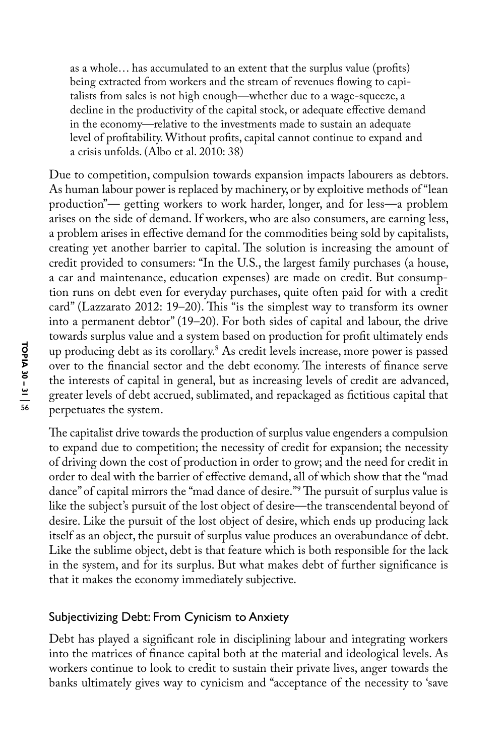as a whole… has accumulated to an extent that the surplus value (profits) being extracted from workers and the stream of revenues flowing to capitalists from sales is not high enough—whether due to a wage-squeeze, a decline in the productivity of the capital stock, or adequate effective demand in the economy—relative to the investments made to sustain an adequate level of profitability. Without profits, capital cannot continue to expand and a crisis unfolds. (Albo et al. 2010: 38)

Due to competition, compulsion towards expansion impacts labourers as debtors. As human labour power is replaced by machinery, or by exploitive methods of "lean production"— getting workers to work harder, longer, and for less—a problem arises on the side of demand. If workers, who are also consumers, are earning less, a problem arises in effective demand for the commodities being sold by capitalists, creating yet another barrier to capital. The solution is increasing the amount of credit provided to consumers: "In the U.S., the largest family purchases (a house, a car and maintenance, education expenses) are made on credit. But consumption runs on debt even for everyday purchases, quite often paid for with a credit card" (Lazzarato 2012: 19–20). This "is the simplest way to transform its owner into a permanent debtor" (19–20). For both sides of capital and labour, the drive towards surplus value and a system based on production for profit ultimately ends up producing debt as its corollary.8 As credit levels increase, more power is passed over to the financial sector and the debt economy. The interests of finance serve the interests of capital in general, but as increasing levels of credit are advanced, greater levels of debt accrued, sublimated, and repackaged as fictitious capital that perpetuates the system.

The capitalist drive towards the production of surplus value engenders a compulsion to expand due to competition; the necessity of credit for expansion; the necessity of driving down the cost of production in order to grow; and the need for credit in order to deal with the barrier of effective demand, all of which show that the "mad dance" of capital mirrors the "mad dance of desire."9 The pursuit of surplus value is like the subject's pursuit of the lost object of desire—the transcendental beyond of desire. Like the pursuit of the lost object of desire, which ends up producing lack itself as an object, the pursuit of surplus value produces an overabundance of debt. Like the sublime object, debt is that feature which is both responsible for the lack in the system, and for its surplus. But what makes debt of further significance is that it makes the economy immediately subjective.

#### Subjectivizing Debt: From Cynicism to Anxiety

Debt has played a significant role in disciplining labour and integrating workers into the matrices of finance capital both at the material and ideological levels. As workers continue to look to credit to sustain their private lives, anger towards the banks ultimately gives way to cynicism and "acceptance of the necessity to 'save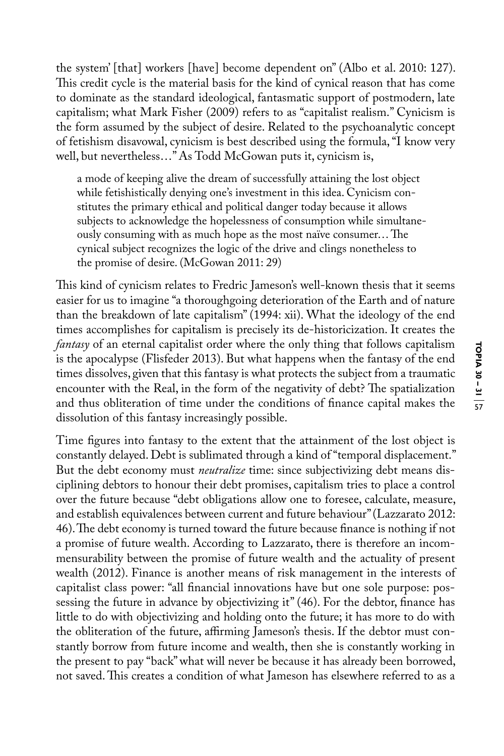57**TOPIA 30 – 31**

10PIA 30 - 31 | 15

the system' [that] workers [have] become dependent on" (Albo et al. 2010: 127). This credit cycle is the material basis for the kind of cynical reason that has come to dominate as the standard ideological, fantasmatic support of postmodern, late capitalism; what Mark Fisher (2009) refers to as "capitalist realism." Cynicism is the form assumed by the subject of desire. Related to the psychoanalytic concept of fetishism disavowal, cynicism is best described using the formula, "I know very well, but nevertheless…" As Todd McGowan puts it, cynicism is,

a mode of keeping alive the dream of successfully attaining the lost object while fetishistically denying one's investment in this idea. Cynicism constitutes the primary ethical and political danger today because it allows subjects to acknowledge the hopelessness of consumption while simultaneously consuming with as much hope as the most naïve consumer… The cynical subject recognizes the logic of the drive and clings nonetheless to the promise of desire. (McGowan 2011: 29)

This kind of cynicism relates to Fredric Jameson's well-known thesis that it seems easier for us to imagine "a thoroughgoing deterioration of the Earth and of nature than the breakdown of late capitalism" (1994: xii). What the ideology of the end times accomplishes for capitalism is precisely its de-historicization. It creates the *fantasy* of an eternal capitalist order where the only thing that follows capitalism is the apocalypse (Flisfeder 2013). But what happens when the fantasy of the end times dissolves, given that this fantasy is what protects the subject from a traumatic encounter with the Real, in the form of the negativity of debt? The spatialization and thus obliteration of time under the conditions of finance capital makes the dissolution of this fantasy increasingly possible.

Time figures into fantasy to the extent that the attainment of the lost object is constantly delayed. Debt is sublimated through a kind of "temporal displacement." But the debt economy must *neutralize* time: since subjectivizing debt means disciplining debtors to honour their debt promises, capitalism tries to place a control over the future because "debt obligations allow one to foresee, calculate, measure, and establish equivalences between current and future behaviour" (Lazzarato 2012: 46). The debt economy is turned toward the future because finance is nothing if not a promise of future wealth. According to Lazzarato, there is therefore an incommensurability between the promise of future wealth and the actuality of present wealth (2012). Finance is another means of risk management in the interests of capitalist class power: "all financial innovations have but one sole purpose: possessing the future in advance by objectivizing it" (46). For the debtor, finance has little to do with objectivizing and holding onto the future; it has more to do with the obliteration of the future, affirming Jameson's thesis. If the debtor must constantly borrow from future income and wealth, then she is constantly working in the present to pay "back" what will never be because it has already been borrowed, not saved. This creates a condition of what Jameson has elsewhere referred to as a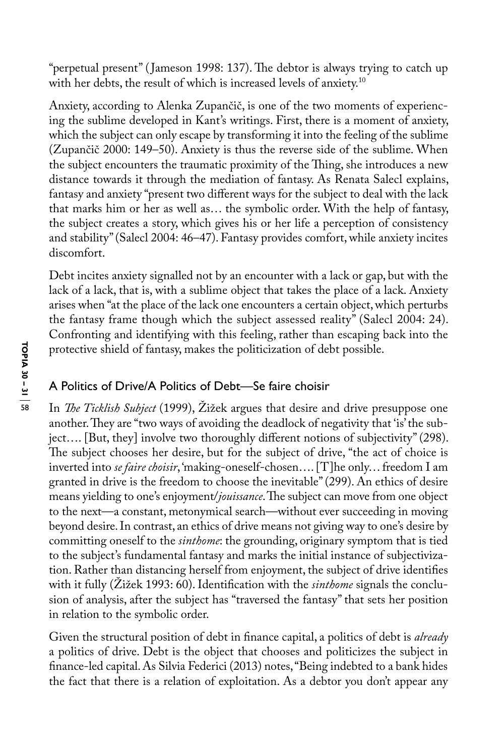"perpetual present" ( Jameson 1998: 137). The debtor is always trying to catch up with her debts, the result of which is increased levels of anxiety.<sup>10</sup>

Anxiety, according to Alenka Zupančič, is one of the two moments of experiencing the sublime developed in Kant's writings. First, there is a moment of anxiety, which the subject can only escape by transforming it into the feeling of the sublime (Zupančič 2000: 149–50). Anxiety is thus the reverse side of the sublime. When the subject encounters the traumatic proximity of the Thing, she introduces a new distance towards it through the mediation of fantasy. As Renata Salecl explains, fantasy and anxiety "present two different ways for the subject to deal with the lack that marks him or her as well as… the symbolic order. With the help of fantasy, the subject creates a story, which gives his or her life a perception of consistency and stability" (Salecl 2004: 46–47). Fantasy provides comfort, while anxiety incites discomfort.

Debt incites anxiety signalled not by an encounter with a lack or gap, but with the lack of a lack, that is, with a sublime object that takes the place of a lack. Anxiety arises when "at the place of the lack one encounters a certain object, which perturbs the fantasy frame though which the subject assessed reality" (Salecl 2004: 24). Confronting and identifying with this feeling, rather than escaping back into the protective shield of fantasy, makes the politicization of debt possible.

## A Politics of Drive/A Politics of Debt—Se faire choisir

In *The Ticklish Subject* (1999), Žižek argues that desire and drive presuppose one another. They are "two ways of avoiding the deadlock of negativity that 'is' the subject…. [But, they] involve two thoroughly different notions of subjectivity" (298). The subject chooses her desire, but for the subject of drive, "the act of choice is inverted into *se faire choisir*, 'making-oneself-chosen…. [T]he only… freedom I am granted in drive is the freedom to choose the inevitable" (299). An ethics of desire means yielding to one's enjoyment/*jouissance*. The subject can move from one object to the next—a constant, metonymical search—without ever succeeding in moving beyond desire. In contrast, an ethics of drive means not giving way to one's desire by committing oneself to the *sinthome*: the grounding, originary symptom that is tied to the subject's fundamental fantasy and marks the initial instance of subjectivization. Rather than distancing herself from enjoyment, the subject of drive identifies with it fully (Žižek 1993: 60). Identification with the *sinthome* signals the conclusion of analysis, after the subject has "traversed the fantasy" that sets her position in relation to the symbolic order.

Given the structural position of debt in finance capital, a politics of debt is *already* a politics of drive. Debt is the object that chooses and politicizes the subject in finance-led capital. As Silvia Federici (2013) notes, "Being indebted to a bank hides the fact that there is a relation of exploitation. As a debtor you don't appear any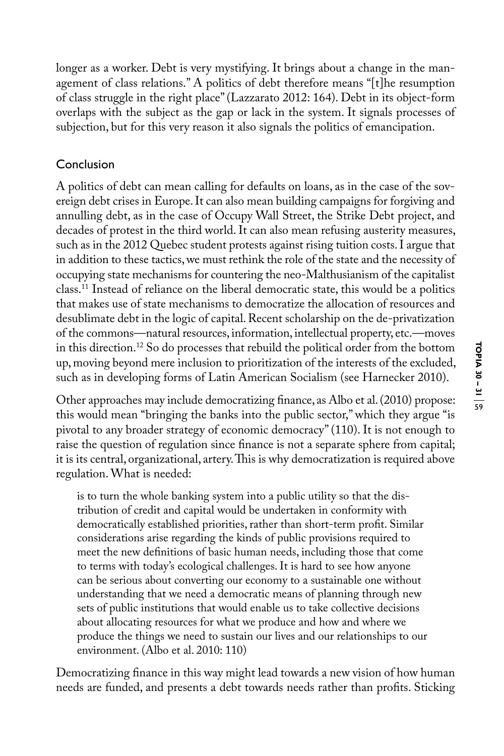longer as a worker. Debt is very mystifying. It brings about a change in the management of class relations." A politics of debt therefore means "[t]he resumption of class struggle in the right place" (Lazzarato 2012: 164). Debt in its object-form overlaps with the subject as the gap or lack in the system. It signals processes of subjection, but for this very reason it also signals the politics of emancipation.

### Conclusion

A politics of debt can mean calling for defaults on loans, as in the case of the sovereign debt crises in Europe. It can also mean building campaigns for forgiving and annulling debt, as in the case of Occupy Wall Street, the Strike Debt project, and decades of protest in the third world. It can also mean refusing austerity measures, such as in the 2012 Quebec student protests against rising tuition costs. I argue that in addition to these tactics, we must rethink the role of the state and the necessity of occupying state mechanisms for countering the neo-Malthusianism of the capitalist class.11 Instead of reliance on the liberal democratic state, this would be a politics that makes use of state mechanisms to democratize the allocation of resources and desublimate debt in the logic of capital. Recent scholarship on the de-privatization of the commons—natural resources, information, intellectual property, etc.—moves in this direction.12 So do processes that rebuild the political order from the bottom up, moving beyond mere inclusion to prioritization of the interests of the excluded, such as in developing forms of Latin American Socialism (see Harnecker 2010).

Other approaches may include democratizing finance, as Albo et al. (2010) propose: this would mean "bringing the banks into the public sector," which they argue "is pivotal to any broader strategy of economic democracy" (110). It is not enough to raise the question of regulation since finance is not a separate sphere from capital; it is its central, organizational, artery. This is why democratization is required above regulation. What is needed:

is to turn the whole banking system into a public utility so that the distribution of credit and capital would be undertaken in conformity with democratically established priorities, rather than short-term profit. Similar considerations arise regarding the kinds of public provisions required to meet the new definitions of basic human needs, including those that come to terms with today's ecological challenges. It is hard to see how anyone can be serious about converting our economy to a sustainable one without understanding that we need a democratic means of planning through new sets of public institutions that would enable us to take collective decisions about allocating resources for what we produce and how and where we produce the things we need to sustain our lives and our relationships to our environment. (Albo et al. 2010: 110)

Democratizing finance in this way might lead towards a new vision of how human needs are funded, and presents a debt towards needs rather than profits. Sticking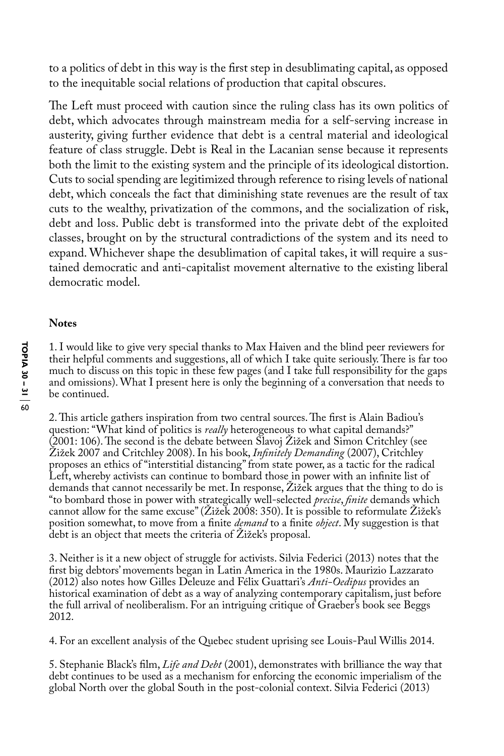to a politics of debt in this way is the first step in desublimating capital, as opposed to the inequitable social relations of production that capital obscures.

The Left must proceed with caution since the ruling class has its own politics of debt, which advocates through mainstream media for a self-serving increase in austerity, giving further evidence that debt is a central material and ideological feature of class struggle. Debt is Real in the Lacanian sense because it represents both the limit to the existing system and the principle of its ideological distortion. Cuts to social spending are legitimized through reference to rising levels of national debt, which conceals the fact that diminishing state revenues are the result of tax cuts to the wealthy, privatization of the commons, and the socialization of risk, debt and loss. Public debt is transformed into the private debt of the exploited classes, brought on by the structural contradictions of the system and its need to expand. Whichever shape the desublimation of capital takes, it will require a sustained democratic and anti-capitalist movement alternative to the existing liberal democratic model.

#### **Notes**

1. I would like to give very special thanks to Max Haiven and the blind peer reviewers for their helpful comments and suggestions, all of which I take quite seriously. There is far too much to discuss on this topic in these few pages (and I take full responsibility for the gaps and omissions). What I present here is only the beginning of a conversation that needs to be continued.

2. This article gathers inspiration from two central sources. The first is Alain Badiou's question: "What kind of politics is *really* heterogeneous to what capital demands?" (2001: 106). The second is the debate between Slavoj Žižek and Simon Critchley (see Žižek 2007 and Critchley 2008). In his book, *Infinitely Demanding* (2007), Critchley proposes an ethics of "interstitial distancing" from state power, as a tactic for the radical Left, whereby activists can continue to bombard those in power with an infinite list of demands that cannot necessarily be met. In response, Žižek argues that the thing to do is "to bombard those in power with strategically well-selected *precise*, *finite* demands which cannot allow for the same excuse" (Žižek 2008: 350). It is possible to reformulate Žižek's position somewhat, to move from a finite *demand* to a finite *object*. My suggestion is that debt is an object that meets the criteria of Žižek's proposal.

3. Neither is it a new object of struggle for activists. Silvia Federici (2013) notes that the first big debtors' movements began in Latin America in the 1980s. Maurizio Lazzarato (2012) also notes how Gilles Deleuze and Félix Guattari's *Anti-Oedipus* provides an historical examination of debt as a way of analyzing contemporary capitalism, just before the full arrival of neoliberalism. For an intriguing critique of Graeber's book see Beggs 2012.

4. For an excellent analysis of the Quebec student uprising see Louis-Paul Willis 2014.

5. Stephanie Black's film, *Life and Debt* (2001), demonstrates with brilliance the way that debt continues to be used as a mechanism for enforcing the economic imperialism of the global North over the global South in the post-colonial context. Silvia Federici (2013)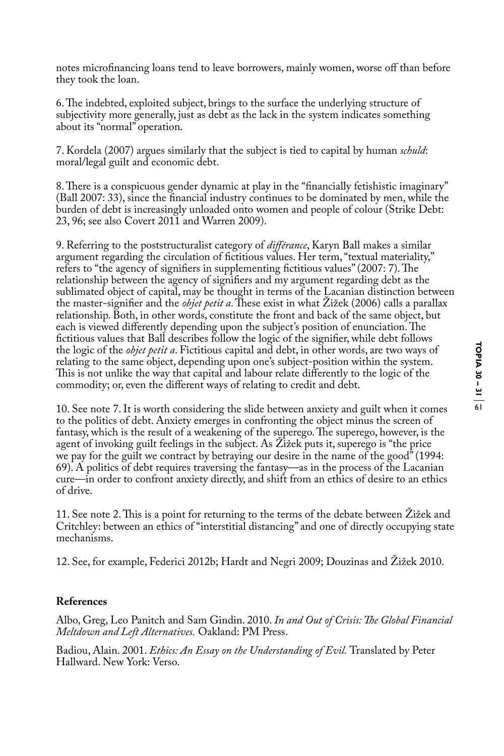notes microfinancing loans tend to leave borrowers, mainly women, worse off than before they took the loan.

6. The indebted, exploited subject, brings to the surface the underlying structure of subjectivity more generally, just as debt as the lack in the system indicates something about its "normal" operation.

7. Kordela (2007) argues similarly that the subject is tied to capital by human *schuld*: moral/legal guilt and economic debt.

8. There is a conspicuous gender dynamic at play in the "financially fetishistic imaginary" (Ball 2007: 33), since the financial industry continues to be dominated by men, while the burden of debt is increasingly unloaded onto women and people of colour (Strike Debt: 23, 96; see also Covert 2011 and Warren 2009).

9. Referring to the poststructuralist category of *différance*, Karyn Ball makes a similar argument regarding the circulation of fictitious values. Her term, "textual materiality," refers to "the agency of signifiers in supplementing fictitious values" (2007: 7). The relationship between the agency of signifiers and my argument regarding debt as the sublimated object of capital, may be thought in terms of the Lacanian distinction between the master-signifier and the *objet petit a*. These exist in what Žižek (2006) calls a parallax relationship. Both, in other words, constitute the front and back of the same object, but each is viewed differently depending upon the subject's position of enunciation. The fictitious values that Ball describes follow the logic of the signifier, while debt follows the logic of the *objet petit a*. Fictitious capital and debt, in other words, are two ways of relating to the same object, depending upon one's subject-position within the system. This is not unlike the way that capital and labour relate differently to the logic of the commodity; or, even the different ways of relating to credit and debt.

10. See note 7. It is worth considering the slide between anxiety and guilt when it comes to the politics of debt. Anxiety emerges in confronting the object minus the screen of fantasy, which is the result of a weakening of the superego. The superego, however, is the agent of invoking guilt feelings in the subject. As Žižek puts it, superego is "the price we pay for the guilt we contract by betraying our desire in the name of the good" (1994: 69). A politics of debt requires traversing the fantasy—as in the process of the Lacanian cure—in order to confront anxiety directly, and shift from an ethics of desire to an ethics of drive.

11. See note 2. This is a point for returning to the terms of the debate between Žižek and Critchley: between an ethics of "interstitial distancing" and one of directly occupying state mechanisms.

12. See, for example, Federici 2012b; Hardt and Negri 2009; Douzinas and Žižek 2010.

#### **References**

Albo, Greg, Leo Panitch and Sam Gindin. 2010. *In and Out of Crisis: The Global Financial Meltdown and Left Alternatives.* Oakland: PM Press.

Badiou, Alain. 2001. *Ethics: An Essay on the Understanding of Evil.* Translated by Peter Hallward. New York: Verso.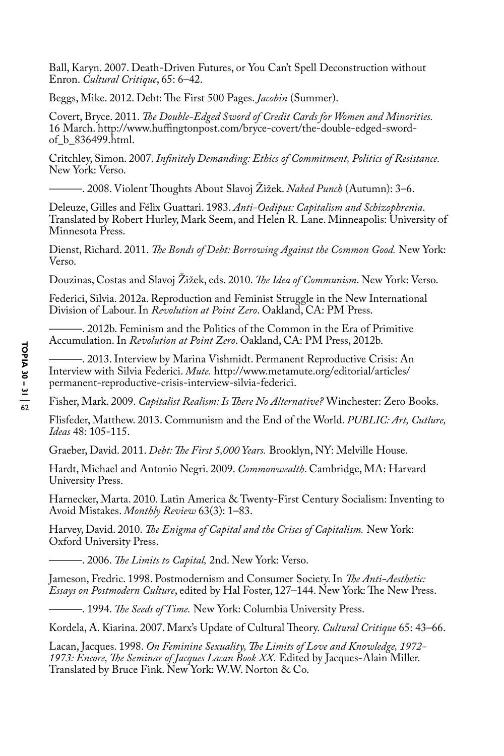Ball, Karyn. 2007. Death-Driven Futures, or You Can't Spell Deconstruction without Enron. *Cultural Critique*, 65: 6–42.

Beggs, Mike. 2012. Debt: The First 500 Pages. *Jacobin* (Summer).

Covert, Bryce. 2011. *The Double-Edged Sword of Credit Cards for Women and Minorities.* 16 March. [http://www.huffingtonpost.com/bryce-covert/the-double-edged-sword](file:///Users/caseyirvin/Google%20Drive/TOPIA/TOPIA30/Content/../customXml/item1.xml)[of\\_b\\_836499.html](file:///Users/caseyirvin/Google%20Drive/TOPIA/TOPIA30/Content/../customXml/item1.xml).

Critchley, Simon. 2007. *Infinitely Demanding: Ethics of Commitment, Politics of Resistance.* New York: Verso.

———. 2008. Violent Thoughts About Slavoj Žižek. *Naked Punch* (Autumn): 3–6.

Deleuze, Gilles and Félix Guattari. 1983. *Anti-Oedipus: Capitalism and Schizophrenia*. Translated by Robert Hurley, Mark Seem, and Helen R. Lane. Minneapolis: University of Minnesota Press.

Dienst, Richard. 2011. *The Bonds of Debt: Borrowing Against the Common Good.* New York: Verso.

Douzinas, Costas and Slavoj Žižek, eds. 2010. *The Idea of Communism*. New York: Verso.

Federici, Silvia. 2012a. Reproduction and Feminist Struggle in the New International Division of Labour. In *Revolution at Point Zero*. Oakland, CA: PM Press.

———. 2012b. Feminism and the Politics of the Common in the Era of Primitive Accumulation. In *Revolution at Point Zero*. Oakland, CA: PM Press, 2012b.

———. 2013. Interview by Marina Vishmidt. Permanent Reproductive Crisis: An Interview with Silvia Federici. *Mute.* [http://www.metamute.org/editorial/articles/](file:///Users/caseyirvin/Google%20Drive/TOPIA/TOPIA30/Content/styles.xml) [permanent-reproductive-crisis-interview-silvia-federici.](file:///Users/caseyirvin/Google%20Drive/TOPIA/TOPIA30/Content/styles.xml)

Fisher, Mark. 2009. *Capitalist Realism: Is There No Alternative?* Winchester: Zero Books.

Flisfeder, Matthew. 2013. Communism and the End of the World. *PUBLIC: Art, Cutlure, Ideas* 48: 105-115.

Graeber, David. 2011. *Debt: The First 5,000 Years.* Brooklyn, NY: Melville House.

Hardt, Michael and Antonio Negri. 2009. *Commonwealth*. Cambridge, MA: Harvard University Press.

Harnecker, Marta. 2010. Latin America & Twenty-First Century Socialism: Inventing to Avoid Mistakes. *Monthly Review* 63(3): 1–83.

Harvey, David. 2010. *The Enigma of Capital and the Crises of Capitalism.* New York: Oxford University Press.

———. 2006. *The Limits to Capital,* 2nd. New York: Verso.

Jameson, Fredric. 1998. Postmodernism and Consumer Society. In *The Anti-Aesthetic: Essays on Postmodern Culture*, edited by Hal Foster, 127–144. New York: The New Press.

———. 1994. *The Seeds of Time.* New York: Columbia University Press.

Kordela, A. Kiarina. 2007. Marx's Update of Cultural Theory. *Cultural Critique* 65: 43–66.

Lacan, Jacques. 1998. *On Feminine Sexuality, The Limits of Love and Knowledge, 1972- 1973: Encore, The Seminar of Jacques Lacan Book XX.* Edited by Jacques-Alain Miller. Translated by Bruce Fink. New York: W.W. Norton & Co.